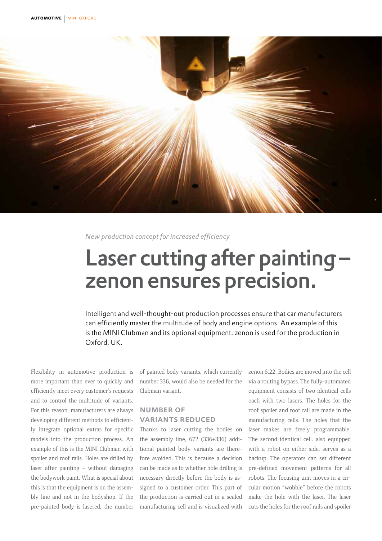

*New production concept for increased efficiency*

# Laser cutting after painting – zenon ensures precision.

Intelligent and well-thought-out production processes ensure that car manufacturers can efficiently master the multitude of body and engine options. An example of this is the MINI Clubman and its optional equipment. zenon is used for the production in Oxford, UK.

Flexibility in automotive production is more important than ever to quickly and efficiently meet every customer's requests and to control the multitude of variants. For this reason, manufacturers are always developing different methods to efficiently integrate optional extras for specific models into the production process. An example of this is the MINI Clubman with spoiler and roof rails. Holes are drilled by laser after painting – without damaging the bodywork paint. What is special about this is that the equipment is on the assembly line and not in the bodyshop. If the pre-painted body is lasered, the number

of painted body variants, which currently number 336, would also be needed for the Clubman variant.

#### number of variants reduced

Thanks to laser cutting the bodies on the assembly line, 672 (336+336) additional painted body variants are therefore avoided. This is because a decision can be made as to whether hole drilling is necessary directly before the body is assigned to a customer order. This part of the production is carried out in a sealed manufacturing cell and is visualized with zenon 6.22. Bodies are moved into the cell via a routing bypass. The fully-automated equipment consists of two identical cells each with two lasers. The holes for the roof spoiler and roof rail are made in the manufacturing cells. The holes that the laser makes are freely programmable. The second identical cell, also equipped with a robot on either side, serves as a backup. The operators can set different pre-defined movement patterns for all robots. The focusing unit moves in a circular motion "wobble" before the robots make the hole with the laser. The laser cuts the holes for the roof rails and spoiler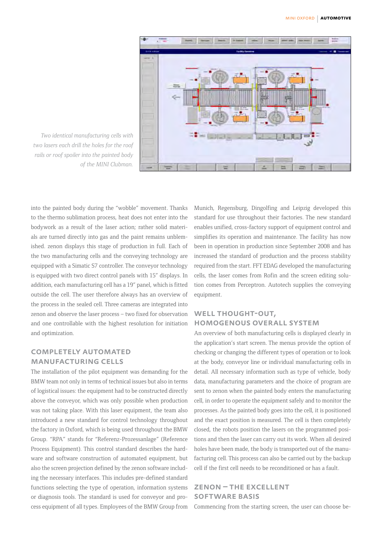

*Two identical manufacturing cells with two lasers each drill the holes for the roof rails or roof spoiler into the painted body of the MINI Clubman.*

into the painted body during the "wobble" movement. Thanks to the thermo sublimation process, heat does not enter into the bodywork as a result of the laser action; rather solid materials are turned directly into gas and the paint remains unblemished. zenon displays this stage of production in full. Each of the two manufacturing cells and the conveying technology are equipped with a Simatic S7 controller. The conveyor technology is equipped with two direct control panels with 15" displays. In addition, each manufacturing cell has a 19" panel, which is fitted outside the cell. The user therefore always has an overview of the process in the sealed cell. Three cameras are integrated into zenon and observe the laser process – two fixed for observation and one controllable with the highest resolution for initiation and optimization.

#### completely automated manufacturing cells

The installation of the pilot equipment was demanding for the BMW team not only in terms of technical issues but also in terms of logistical issues: the equipment had to be constructed directly above the conveyor, which was only possible when production was not taking place. With this laser equipment, the team also introduced a new standard for control technology throughout the factory in Oxford, which is being used throughout the BMW Group. "RPA" stands for "Referenz-Prozessanlage" (Reference Process Equipment). This control standard describes the hardware and software construction of automated equipment, but also the screen projection defined by the zenon software including the necessary interfaces. This includes pre-defined standard functions selecting the type of operation, information systems or diagnosis tools. The standard is used for conveyor and process equipment of all types. Employees of the BMW Group from Munich, Regensburg, Dingolfing and Leipzig developed this standard for use throughout their factories. The new standard enables unified, cross-factory support of equipment control and simplifies its operation and maintenance. The facility has now been in operation in production since September 2008 and has increased the standard of production and the process stability required from the start. FFT EDAG developed the manufacturing cells, the laser comes from Rofin and the screen editing solution comes from Perceptron. Autotech supplies the conveying equipment.

### WELL THOUGHT-OUT, homogenous overall system

An overview of both manufacturing cells is displayed clearly in the application's start screen. The menus provide the option of checking or changing the different types of operation or to look at the body, conveyor line or individual manufacturing cells in detail. All necessary information such as type of vehicle, body data, manufacturing parameters and the choice of program are sent to zenon when the painted body enters the manufacturing cell, in order to operate the equipment safely and to monitor the processes. As the painted body goes into the cell, it is positioned and the exact position is measured. The cell is then completely closed, the robots position the lasers on the programmed positions and then the laser can carry out its work. When all desired holes have been made, the body is transported out of the manufacturing cell. This process can also be carried out by the backup cell if the first cell needs to be reconditioned or has a fault.

#### zenon – the excellent software basis

Commencing from the starting screen, the user can choose be-